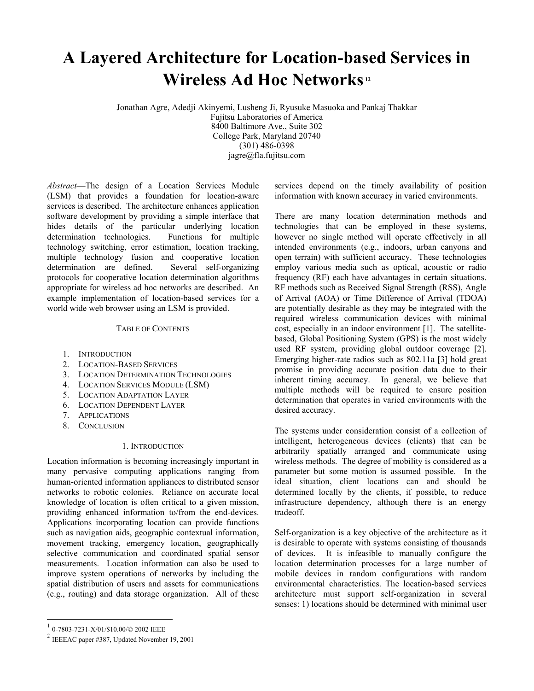# **A Layered Architecture for Location-based Services in Wireless Ad Hoc Networks 1[2](#page-0-1)**

Jonathan Agre, Adedji Akinyemi, Lusheng Ji, Ryusuke Masuoka and Pankaj Thakkar Fujitsu Laboratories of America

8400 Baltimore Ave., Suite 302 College Park, Maryland 20740 (301) 486-0398 jagre@fla.fujitsu.com

*Abstract*—The design of a Location Services Module (LSM) that provides a foundation for location-aware services is described. The architecture enhances application software development by providing a simple interface that hides details of the particular underlying location determination technologies. Functions for multiple technology switching, error estimation, location tracking, multiple technology fusion and cooperative location determination are defined. Several self-organizing protocols for cooperative location determination algorithms appropriate for wireless ad hoc networks are described. An example implementation of location-based services for a world wide web browser using an LSM is provided.

#### TABLE OF CONTENTS

- 1. INTRODUCTION
- 2. LOCATION-BASED SERVICES
- 3. LOCATION DETERMINATION TECHNOLOGIES
- 4. LOCATION SERVICES MODULE (LSM)
- 5. LOCATION ADAPTATION LAYER
- 6. LOCATION DEPENDENT LAYER
- 7. APPLICATIONS
- 8. CONCLUSION

# 1. INTRODUCTION

Location information is becoming increasingly important in many pervasive computing applications ranging from human-oriented information appliances to distributed sensor networks to robotic colonies. Reliance on accurate local knowledge of location is often critical to a given mission, providing enhanced information to/from the end-devices. Applications incorporating location can provide functions such as navigation aids, geographic contextual information, movement tracking, emergency location, geographically selective communication and coordinated spatial sensor measurements. Location information can also be used to improve system operations of networks by including the spatial distribution of users and assets for communications (e.g., routing) and data storage organization. All of these

 $\overline{a}$ 

services depend on the timely availability of position information with known accuracy in varied environments.

There are many location determination methods and technologies that can be employed in these systems, however no single method will operate effectively in all intended environments (e.g., indoors, urban canyons and open terrain) with sufficient accuracy. These technologies employ various media such as optical, acoustic or radio frequency (RF) each have advantages in certain situations. RF methods such as Received Signal Strength (RSS), Angle of Arrival (AOA) or Time Difference of Arrival (TDOA) are potentially desirable as they may be integrated with the required wireless communication devices with minimal cost, especially in an indoor environment [1]. The satellitebased, Global Positioning System (GPS) is the most widely used RF system, providing global outdoor coverage [2]. Emerging higher-rate radios such as 802.11a [3] hold great promise in providing accurate position data due to their inherent timing accuracy. In general, we believe that multiple methods will be required to ensure position determination that operates in varied environments with the desired accuracy.

The systems under consideration consist of a collection of intelligent, heterogeneous devices (clients) that can be arbitrarily spatially arranged and communicate using wireless methods. The degree of mobility is considered as a parameter but some motion is assumed possible. In the ideal situation, client locations can and should be determined locally by the clients, if possible, to reduce infrastructure dependency, although there is an energy tradeoff.

Self-organization is a key objective of the architecture as it is desirable to operate with systems consisting of thousands of devices. It is infeasible to manually configure the location determination processes for a large number of mobile devices in random configurations with random environmental characteristics. The location-based services architecture must support self-organization in several senses: 1) locations should be determined with minimal user

<span id="page-0-0"></span><sup>1</sup> 0-7803-7231-X/01/\$10.00/© 2002 IEEE

<span id="page-0-1"></span><sup>2</sup> IEEEAC paper #387, Updated November 19, 2001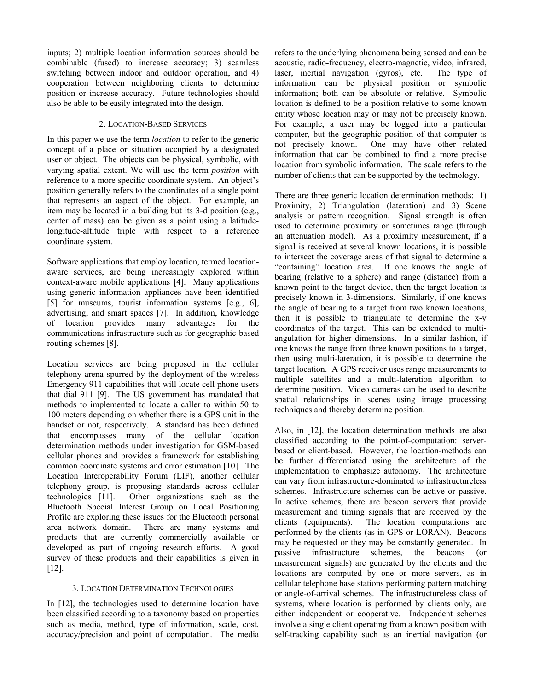inputs; 2) multiple location information sources should be combinable (fused) to increase accuracy; 3) seamless switching between indoor and outdoor operation, and 4) cooperation between neighboring clients to determine position or increase accuracy. Future technologies should also be able to be easily integrated into the design.

# 2. LOCATION-BASED SERVICES

In this paper we use the term *location* to refer to the generic concept of a place or situation occupied by a designated user or object. The objects can be physical, symbolic, with varying spatial extent. We will use the term *position* with reference to a more specific coordinate system. An object's position generally refers to the coordinates of a single point that represents an aspect of the object. For example, an item may be located in a building but its 3-d position (e.g., center of mass) can be given as a point using a latitudelongitude-altitude triple with respect to a reference coordinate system.

Software applications that employ location, termed locationaware services, are being increasingly explored within context-aware mobile applications [4]. Many applications using generic information appliances have been identified [5] for museums, tourist information systems [e.g., 6], advertising, and smart spaces [7]. In addition, knowledge of location provides many advantages for the communications infrastructure such as for geographic-based routing schemes [8].

Location services are being proposed in the cellular telephony arena spurred by the deployment of the wireless Emergency 911 capabilities that will locate cell phone users that dial 911 [9]. The US government has mandated that methods to implemented to locate a caller to within 50 to 100 meters depending on whether there is a GPS unit in the handset or not, respectively. A standard has been defined that encompasses many of the cellular location determination methods under investigation for GSM-based cellular phones and provides a framework for establishing common coordinate systems and error estimation [10]. The Location Interoperability Forum (LIF), another cellular telephony group, is proposing standards across cellular technologies [11]. Other organizations such as the Bluetooth Special Interest Group on Local Positioning Profile are exploring these issues for the Bluetooth personal area network domain. There are many systems and products that are currently commercially available or developed as part of ongoing research efforts. A good survey of these products and their capabilities is given in [12].

# 3. LOCATION DETERMINATION TECHNOLOGIES

In [12], the technologies used to determine location have been classified according to a taxonomy based on properties such as media, method, type of information, scale, cost, accuracy/precision and point of computation. The media refers to the underlying phenomena being sensed and can be acoustic, radio-frequency, electro-magnetic, video, infrared, laser, inertial navigation (gyros), etc. The type of information can be physical position or symbolic information; both can be absolute or relative. Symbolic location is defined to be a position relative to some known entity whose location may or may not be precisely known. For example, a user may be logged into a particular computer, but the geographic position of that computer is not precisely known. One may have other related information that can be combined to find a more precise location from symbolic information. The scale refers to the number of clients that can be supported by the technology.

There are three generic location determination methods: 1) Proximity, 2) Triangulation (lateration) and 3) Scene analysis or pattern recognition. Signal strength is often used to determine proximity or sometimes range (through an attenuation model). As a proximity measurement, if a signal is received at several known locations, it is possible to intersect the coverage areas of that signal to determine a "containing" location area. If one knows the angle of bearing (relative to a sphere) and range (distance) from a known point to the target device, then the target location is precisely known in 3-dimensions. Similarly, if one knows the angle of bearing to a target from two known locations, then it is possible to triangulate to determine the x-y coordinates of the target. This can be extended to multiangulation for higher dimensions. In a similar fashion, if one knows the range from three known positions to a target, then using multi-lateration, it is possible to determine the target location. A GPS receiver uses range measurements to multiple satellites and a multi-lateration algorithm to determine position. Video cameras can be used to describe spatial relationships in scenes using image processing techniques and thereby determine position.

Also, in [12], the location determination methods are also classified according to the point-of-computation: serverbased or client-based. However, the location-methods can be further differentiated using the architecture of the implementation to emphasize autonomy. The architecture can vary from infrastructure-dominated to infrastructureless schemes. Infrastructure schemes can be active or passive. In active schemes, there are beacon servers that provide measurement and timing signals that are received by the clients (equipments). The location computations are performed by the clients (as in GPS or LORAN). Beacons may be requested or they may be constantly generated. In passive infrastructure schemes, the beacons (or measurement signals) are generated by the clients and the locations are computed by one or more servers, as in cellular telephone base stations performing pattern matching or angle-of-arrival schemes. The infrastructureless class of systems, where location is performed by clients only, are either independent or cooperative. Independent schemes involve a single client operating from a known position with self-tracking capability such as an inertial navigation (or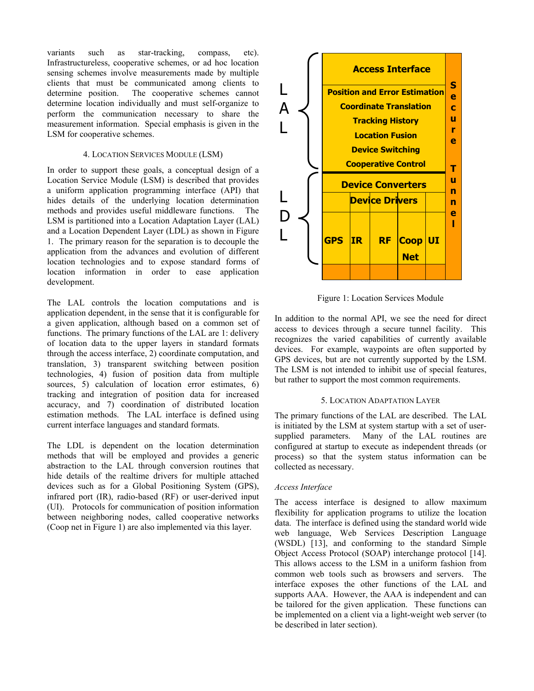variants such as star-tracking, compass, etc). Infrastructureless, cooperative schemes, or ad hoc location sensing schemes involve measurements made by multiple clients that must be communicated among clients to determine position. The cooperative schemes cannot determine location individually and must self-organize to perform the communication necessary to share the measurement information. Special emphasis is given in the LSM for cooperative schemes.

# 4. LOCATION SERVICES MODULE (LSM)

In order to support these goals, a conceptual design of a Location Service Module (LSM) is described that provides a uniform application programming interface (API) that hides details of the underlying location determination methods and provides useful middleware functions. The LSM is partitioned into a Location Adaptation Layer (LAL) and a Location Dependent Layer (LDL) as shown in Figure 1. The primary reason for the separation is to decouple the application from the advances and evolution of different location technologies and to expose standard forms of location information in order to ease application development.

The LAL controls the location computations and is application dependent, in the sense that it is configurable for a given application, although based on a common set of functions. The primary functions of the LAL are 1: delivery of location data to the upper layers in standard formats through the access interface, 2) coordinate computation, and translation, 3) transparent switching between position technologies, 4) fusion of position data from multiple sources, 5) calculation of location error estimates, 6) tracking and integration of position data for increased accuracy, and 7) coordination of distributed location estimation methods. The LAL interface is defined using current interface languages and standard formats.

The LDL is dependent on the location determination methods that will be employed and provides a generic abstraction to the LAL through conversion routines that hide details of the realtime drivers for multiple attached devices such as for a Global Positioning System (GPS), infrared port (IR), radio-based (RF) or user-derived input (UI). Protocols for communication of position information between neighboring nodes, called cooperative networks (Coop net in Figure 1) are also implemented via this layer.



Figure 1: Location Services Module

In addition to the normal API, we see the need for direct access to devices through a secure tunnel facility. This recognizes the varied capabilities of currently available devices. For example, waypoints are often supported by GPS devices, but are not currently supported by the LSM. The LSM is not intended to inhibit use of special features, but rather to support the most common requirements.

#### 5. LOCATION ADAPTATION LAYER

The primary functions of the LAL are described. The LAL is initiated by the LSM at system startup with a set of usersupplied parameters. Many of the LAL routines are configured at startup to execute as independent threads (or process) so that the system status information can be collected as necessary.

#### *Access Interface*

The access interface is designed to allow maximum flexibility for application programs to utilize the location data. The interface is defined using the standard world wide web language, Web Services Description Language (WSDL) [13], and conforming to the standard Simple Object Access Protocol (SOAP) interchange protocol [14]. This allows access to the LSM in a uniform fashion from common web tools such as browsers and servers. The interface exposes the other functions of the LAL and supports AAA. However, the AAA is independent and can be tailored for the given application. These functions can be implemented on a client via a light-weight web server (to be described in later section).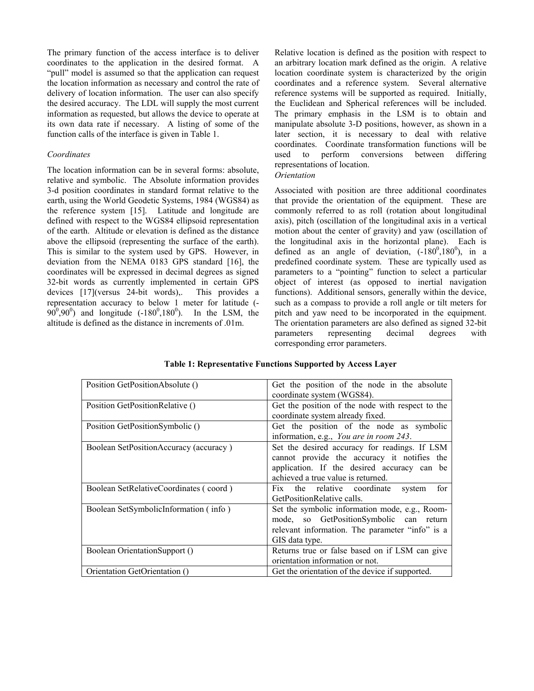The primary function of the access interface is to deliver coordinates to the application in the desired format. A "pull" model is assumed so that the application can request the location information as necessary and control the rate of delivery of location information. The user can also specify the desired accuracy. The LDL will supply the most current information as requested, but allows the device to operate at its own data rate if necessary. A listing of some of the function calls of the interface is given in Table 1.

# *Coordinates*

The location information can be in several forms: absolute, relative and symbolic. The Absolute information provides 3-d position coordinates in standard format relative to the earth, using the World Geodetic Systems, 1984 (WGS84) as the reference system [15]. Latitude and longitude are defined with respect to the WGS84 ellipsoid representation of the earth. Altitude or elevation is defined as the distance above the ellipsoid (representing the surface of the earth). This is similar to the system used by GPS. However, in deviation from the NEMA 0183 GPS standard [16], the coordinates will be expressed in decimal degrees as signed 32-bit words as currently implemented in certain GPS devices [17](versus 24-bit words),. This provides a representation accuracy to below 1 meter for latitude (-  $90^0, 90^0$  and longitude  $(-180^0, 180^0)$ . In the LSM, the altitude is defined as the distance in increments of .01m.

Relative location is defined as the position with respect to an arbitrary location mark defined as the origin. A relative location coordinate system is characterized by the origin coordinates and a reference system. Several alternative reference systems will be supported as required. Initially, the Euclidean and Spherical references will be included. The primary emphasis in the LSM is to obtain and manipulate absolute 3-D positions, however, as shown in a later section, it is necessary to deal with relative coordinates. Coordinate transformation functions will be used to perform conversions between differing representations of location.

#### *Orientation*

Associated with position are three additional coordinates that provide the orientation of the equipment. These are commonly referred to as roll (rotation about longitudinal axis), pitch (oscillation of the longitudinal axis in a vertical motion about the center of gravity) and yaw (oscillation of the longitudinal axis in the horizontal plane). Each is defined as an angle of deviation,  $(-180^0, 180^0)$ , in a predefined coordinate system. These are typically used as parameters to a "pointing" function to select a particular object of interest (as opposed to inertial navigation functions). Additional sensors, generally within the device, such as a compass to provide a roll angle or tilt meters for pitch and yaw need to be incorporated in the equipment. The orientation parameters are also defined as signed 32-bit parameters representing decimal degrees with corresponding error parameters.

| Position GetPositionAbsolute ()        | Get the position of the node in the absolute     |
|----------------------------------------|--------------------------------------------------|
|                                        | coordinate system (WGS84).                       |
| Position GetPositionRelative ()        | Get the position of the node with respect to the |
|                                        | coordinate system already fixed.                 |
| Position GetPositionSymbolic ()        | Get the position of the node as symbolic         |
|                                        | information, e.g., You are in room 243.          |
| Boolean SetPositionAccuracy (accuracy) | Set the desired accuracy for readings. If LSM    |
|                                        | cannot provide the accuracy it notifies the      |
|                                        | application. If the desired accuracy can be      |
|                                        | achieved a true value is returned.               |
| Boolean SetRelativeCoordinates (coord) | Fix the relative coordinate<br>for<br>system     |
|                                        | GetPositionRelative calls.                       |
| Boolean SetSymbolicInformation (info)  | Set the symbolic information mode, e.g., Room-   |
|                                        | mode, so GetPositionSymbolic can return          |
|                                        | relevant information. The parameter "info" is a  |
|                                        | GIS data type.                                   |
| Boolean OrientationSupport ()          | Returns true or false based on if LSM can give   |
|                                        | orientation information or not.                  |
| Orientation GetOrientation ()          | Get the orientation of the device if supported.  |

**Table 1: Representative Functions Supported by Access Layer**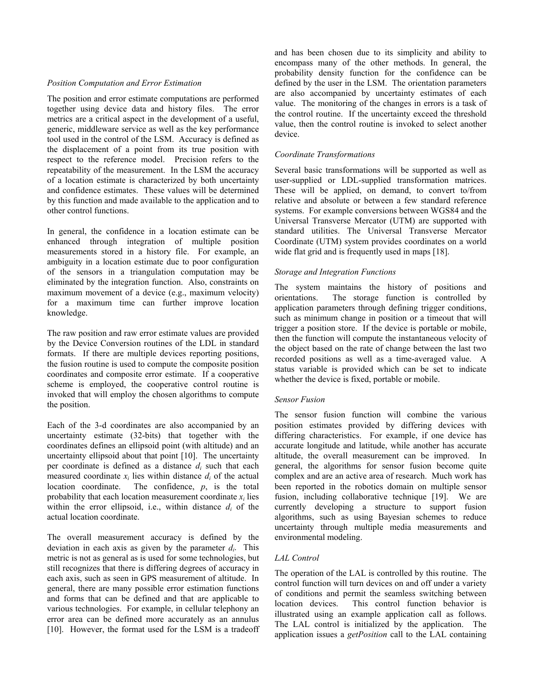#### *Position Computation and Error Estimation*

The position and error estimate computations are performed together using device data and history files. The error metrics are a critical aspect in the development of a useful, generic, middleware service as well as the key performance tool used in the control of the LSM. Accuracy is defined as the displacement of a point from its true position with respect to the reference model. Precision refers to the repeatability of the measurement. In the LSM the accuracy of a location estimate is characterized by both uncertainty and confidence estimates. These values will be determined by this function and made available to the application and to other control functions.

In general, the confidence in a location estimate can be enhanced through integration of multiple position measurements stored in a history file. For example, an ambiguity in a location estimate due to poor configuration of the sensors in a triangulation computation may be eliminated by the integration function. Also, constraints on maximum movement of a device (e.g., maximum velocity) for a maximum time can further improve location knowledge.

The raw position and raw error estimate values are provided by the Device Conversion routines of the LDL in standard formats. If there are multiple devices reporting positions, the fusion routine is used to compute the composite position coordinates and composite error estimate. If a cooperative scheme is employed, the cooperative control routine is invoked that will employ the chosen algorithms to compute the position.

Each of the 3-d coordinates are also accompanied by an uncertainty estimate (32-bits) that together with the coordinates defines an ellipsoid point (with altitude) and an uncertainty ellipsoid about that point [10]. The uncertainty per coordinate is defined as a distance *di* such that each measured coordinate  $x_i$  lies within distance  $d_i$  of the actual location coordinate. The confidence, *p*, is the total probability that each location measurement coordinate  $x_i$  lies within the error ellipsoid, i.e., within distance  $d_i$  of the actual location coordinate.

The overall measurement accuracy is defined by the deviation in each axis as given by the parameter *di*. This metric is not as general as is used for some technologies, but still recognizes that there is differing degrees of accuracy in each axis, such as seen in GPS measurement of altitude. In general, there are many possible error estimation functions and forms that can be defined and that are applicable to various technologies. For example, in cellular telephony an error area can be defined more accurately as an annulus [10]. However, the format used for the LSM is a tradeoff and has been chosen due to its simplicity and ability to encompass many of the other methods. In general, the probability density function for the confidence can be defined by the user in the LSM. The orientation parameters are also accompanied by uncertainty estimates of each value. The monitoring of the changes in errors is a task of the control routine. If the uncertainty exceed the threshold value, then the control routine is invoked to select another device.

#### *Coordinate Transformations*

Several basic transformations will be supported as well as user-supplied or LDL-supplied transformation matrices. These will be applied, on demand, to convert to/from relative and absolute or between a few standard reference systems. For example conversions between WGS84 and the Universal Transverse Mercator (UTM) are supported with standard utilities. The Universal Transverse Mercator Coordinate (UTM) system provides coordinates on a world wide flat grid and is frequently used in maps [18].

#### *Storage and Integration Functions*

The system maintains the history of positions and orientations. The storage function is controlled by application parameters through defining trigger conditions, such as minimum change in position or a timeout that will trigger a position store. If the device is portable or mobile, then the function will compute the instantaneous velocity of the object based on the rate of change between the last two recorded positions as well as a time-averaged value. A status variable is provided which can be set to indicate whether the device is fixed, portable or mobile.

# *Sensor Fusion*

The sensor fusion function will combine the various position estimates provided by differing devices with differing characteristics. For example, if one device has accurate longitude and latitude, while another has accurate altitude, the overall measurement can be improved. In general, the algorithms for sensor fusion become quite complex and are an active area of research. Much work has been reported in the robotics domain on multiple sensor fusion, including collaborative technique [19]. We are currently developing a structure to support fusion algorithms, such as using Bayesian schemes to reduce uncertainty through multiple media measurements and environmental modeling.

# *LAL Control*

The operation of the LAL is controlled by this routine. The control function will turn devices on and off under a variety of conditions and permit the seamless switching between location devices. This control function behavior is illustrated using an example application call as follows. The LAL control is initialized by the application. The application issues a *getPosition* call to the LAL containing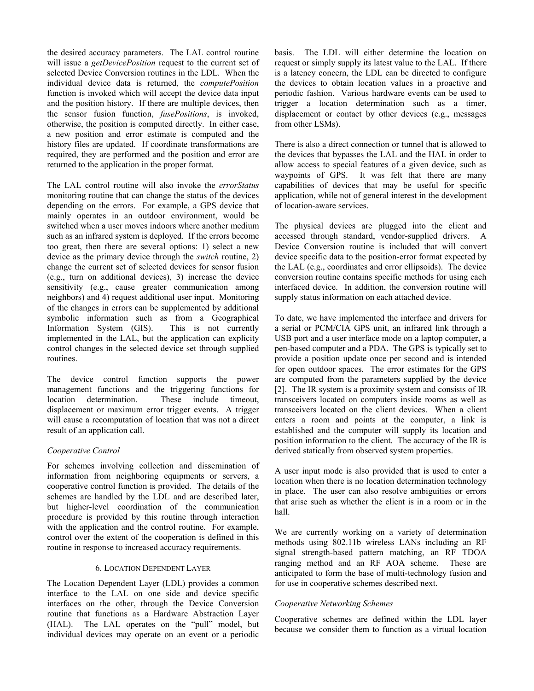the desired accuracy parameters. The LAL control routine will issue a *getDevicePosition* request to the current set of selected Device Conversion routines in the LDL. When the individual device data is returned, the *computePosition* function is invoked which will accept the device data input and the position history. If there are multiple devices, then the sensor fusion function, *fusePositions*, is invoked, otherwise, the position is computed directly. In either case, a new position and error estimate is computed and the history files are updated. If coordinate transformations are required, they are performed and the position and error are returned to the application in the proper format.

The LAL control routine will also invoke the *errorStatus* monitoring routine that can change the status of the devices depending on the errors. For example, a GPS device that mainly operates in an outdoor environment, would be switched when a user moves indoors where another medium such as an infrared system is deployed. If the errors become too great, then there are several options: 1) select a new device as the primary device through the *switch* routine, 2) change the current set of selected devices for sensor fusion (e.g., turn on additional devices), 3) increase the device sensitivity (e.g., cause greater communication among neighbors) and 4) request additional user input. Monitoring of the changes in errors can be supplemented by additional symbolic information such as from a Geographical Information System (GIS). This is not currently implemented in the LAL, but the application can explicity control changes in the selected device set through supplied routines.

The device control function supports the power management functions and the triggering functions for location determination. These include timeout, displacement or maximum error trigger events. A trigger will cause a recomputation of location that was not a direct result of an application call.

# *Cooperative Control*

For schemes involving collection and dissemination of information from neighboring equipments or servers, a cooperative control function is provided. The details of the schemes are handled by the LDL and are described later, but higher-level coordination of the communication procedure is provided by this routine through interaction with the application and the control routine. For example, control over the extent of the cooperation is defined in this routine in response to increased accuracy requirements.

# 6. LOCATION DEPENDENT LAYER

The Location Dependent Layer (LDL) provides a common interface to the LAL on one side and device specific interfaces on the other, through the Device Conversion routine that functions as a Hardware Abstraction Layer (HAL). The LAL operates on the "pull" model, but individual devices may operate on an event or a periodic

basis. The LDL will either determine the location on request or simply supply its latest value to the LAL. If there is a latency concern, the LDL can be directed to configure the devices to obtain location values in a proactive and periodic fashion. Various hardware events can be used to trigger a location determination such as a timer, displacement or contact by other devices (e.g., messages from other LSMs).

There is also a direct connection or tunnel that is allowed to the devices that bypasses the LAL and the HAL in order to allow access to special features of a given device, such as waypoints of GPS. It was felt that there are many capabilities of devices that may be useful for specific application, while not of general interest in the development of location-aware services.

The physical devices are plugged into the client and accessed through standard, vendor-supplied drivers. A Device Conversion routine is included that will convert device specific data to the position-error format expected by the LAL (e.g., coordinates and error ellipsoids). The device conversion routine contains specific methods for using each interfaced device. In addition, the conversion routine will supply status information on each attached device.

To date, we have implemented the interface and drivers for a serial or PCM/CIA GPS unit, an infrared link through a USB port and a user interface mode on a laptop computer, a pen-based computer and a PDA. The GPS is typically set to provide a position update once per second and is intended for open outdoor spaces. The error estimates for the GPS are computed from the parameters supplied by the device [2]. The IR system is a proximity system and consists of IR transceivers located on computers inside rooms as well as transceivers located on the client devices. When a client enters a room and points at the computer, a link is established and the computer will supply its location and position information to the client. The accuracy of the IR is derived statically from observed system properties.

A user input mode is also provided that is used to enter a location when there is no location determination technology in place. The user can also resolve ambiguities or errors that arise such as whether the client is in a room or in the hall.

We are currently working on a variety of determination methods using 802.11b wireless LANs including an RF signal strength-based pattern matching, an RF TDOA ranging method and an RF AOA scheme. These are anticipated to form the base of multi-technology fusion and for use in cooperative schemes described next.

# *Cooperative Networking Schemes*

Cooperative schemes are defined within the LDL layer because we consider them to function as a virtual location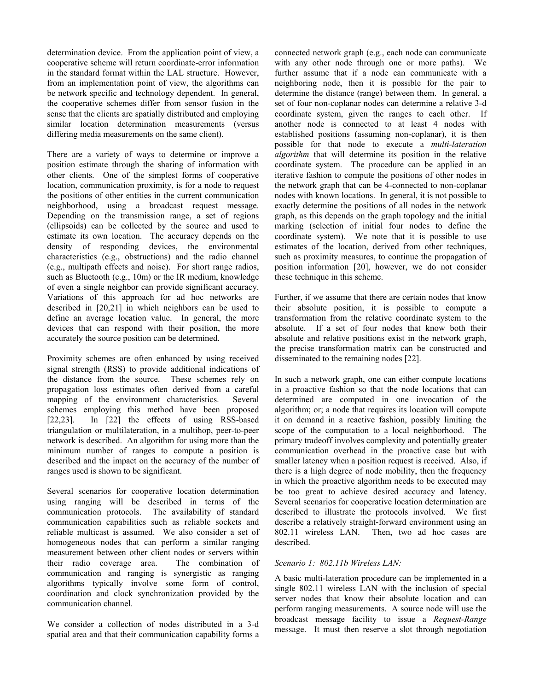determination device. From the application point of view, a cooperative scheme will return coordinate-error information in the standard format within the LAL structure. However, from an implementation point of view, the algorithms can be network specific and technology dependent. In general, the cooperative schemes differ from sensor fusion in the sense that the clients are spatially distributed and employing similar location determination measurements (versus differing media measurements on the same client).

There are a variety of ways to determine or improve a position estimate through the sharing of information with other clients. One of the simplest forms of cooperative location, communication proximity, is for a node to request the positions of other entities in the current communication neighborhood, using a broadcast request message. Depending on the transmission range, a set of regions (ellipsoids) can be collected by the source and used to estimate its own location. The accuracy depends on the density of responding devices, the environmental characteristics (e.g., obstructions) and the radio channel (e.g., multipath effects and noise). For short range radios, such as Bluetooth (e.g., 10m) or the IR medium, knowledge of even a single neighbor can provide significant accuracy. Variations of this approach for ad hoc networks are described in [20,21] in which neighbors can be used to define an average location value. In general, the more devices that can respond with their position, the more accurately the source position can be determined.

Proximity schemes are often enhanced by using received signal strength (RSS) to provide additional indications of the distance from the source. These schemes rely on propagation loss estimates often derived from a careful mapping of the environment characteristics. Several schemes employing this method have been proposed [22,23]. In [22] the effects of using RSS-based triangulation or multilateration, in a multihop, peer-to-peer network is described. An algorithm for using more than the minimum number of ranges to compute a position is described and the impact on the accuracy of the number of ranges used is shown to be significant.

Several scenarios for cooperative location determination using ranging will be described in terms of the communication protocols. The availability of standard communication capabilities such as reliable sockets and reliable multicast is assumed. We also consider a set of homogeneous nodes that can perform a similar ranging measurement between other client nodes or servers within their radio coverage area. The combination of communication and ranging is synergistic as ranging algorithms typically involve some form of control, coordination and clock synchronization provided by the communication channel.

We consider a collection of nodes distributed in a 3-d spatial area and that their communication capability forms a connected network graph (e.g., each node can communicate with any other node through one or more paths). We further assume that if a node can communicate with a neighboring node, then it is possible for the pair to determine the distance (range) between them. In general, a set of four non-coplanar nodes can determine a relative 3-d coordinate system, given the ranges to each other. If another node is connected to at least 4 nodes with established positions (assuming non-coplanar), it is then possible for that node to execute a *multi-lateration algorithm* that will determine its position in the relative coordinate system. The procedure can be applied in an iterative fashion to compute the positions of other nodes in the network graph that can be 4-connected to non-coplanar nodes with known locations. In general, it is not possible to exactly determine the positions of all nodes in the network graph, as this depends on the graph topology and the initial marking (selection of initial four nodes to define the coordinate system). We note that it is possible to use estimates of the location, derived from other techniques, such as proximity measures, to continue the propagation of position information [20], however, we do not consider these technique in this scheme.

Further, if we assume that there are certain nodes that know their absolute position, it is possible to compute a transformation from the relative coordinate system to the absolute. If a set of four nodes that know both their absolute and relative positions exist in the network graph, the precise transformation matrix can be constructed and disseminated to the remaining nodes [22].

In such a network graph, one can either compute locations in a proactive fashion so that the node locations that can determined are computed in one invocation of the algorithm; or; a node that requires its location will compute it on demand in a reactive fashion, possibly limiting the scope of the computation to a local neighborhood. The primary tradeoff involves complexity and potentially greater communication overhead in the proactive case but with smaller latency when a position request is received. Also, if there is a high degree of node mobility, then the frequency in which the proactive algorithm needs to be executed may be too great to achieve desired accuracy and latency. Several scenarios for cooperative location determination are described to illustrate the protocols involved. We first describe a relatively straight-forward environment using an 802.11 wireless LAN. Then, two ad hoc cases are described.

# *Scenario 1: 802.11b Wireless LAN:*

A basic multi-lateration procedure can be implemented in a single 802.11 wireless LAN with the inclusion of special server nodes that know their absolute location and can perform ranging measurements. A source node will use the broadcast message facility to issue a *Request-Range* message. It must then reserve a slot through negotiation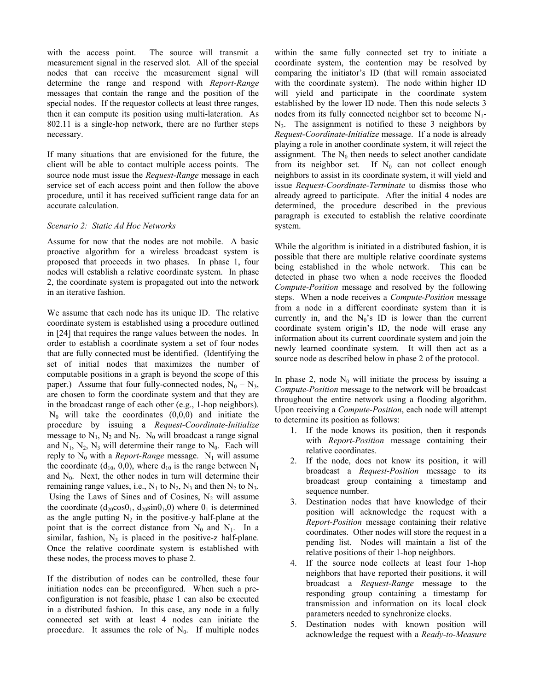with the access point. The source will transmit a measurement signal in the reserved slot. All of the special nodes that can receive the measurement signal will determine the range and respond with *Report-Range* messages that contain the range and the position of the special nodes. If the requestor collects at least three ranges, then it can compute its position using multi-lateration. As 802.11 is a single-hop network, there are no further steps necessary.

If many situations that are envisioned for the future, the client will be able to contact multiple access points. The source node must issue the *Request-Range* message in each service set of each access point and then follow the above procedure, until it has received sufficient range data for an accurate calculation.

# *Scenario 2: Static Ad Hoc Networks*

Assume for now that the nodes are not mobile. A basic proactive algorithm for a wireless broadcast system is proposed that proceeds in two phases. In phase 1, four nodes will establish a relative coordinate system. In phase 2, the coordinate system is propagated out into the network in an iterative fashion.

We assume that each node has its unique ID. The relative coordinate system is established using a procedure outlined in [24] that requires the range values between the nodes. In order to establish a coordinate system a set of four nodes that are fully connected must be identified. (Identifying the set of initial nodes that maximizes the number of computable positions in a graph is beyond the scope of this paper.) Assume that four fully-connected nodes,  $N_0 - N_3$ , are chosen to form the coordinate system and that they are in the broadcast range of each other (e.g., 1-hop neighbors).  $N_0$  will take the coordinates  $(0,0,0)$  and initiate the procedure by issuing a *Request-Coordinate-Initialize* message to  $N_1$ ,  $N_2$  and  $N_3$ .  $N_0$  will broadcast a range signal and  $N_1$ ,  $N_2$ ,  $N_3$  will determine their range to  $N_0$ . Each will reply to  $N_0$  with a *Report-Range* message.  $N_1$  will assume the coordinate ( $d_{10}$ , 0,0), where  $d_{10}$  is the range between N<sub>1</sub> and  $N_0$ . Next, the other nodes in turn will determine their remaining range values, i.e.,  $N_1$  to  $N_2$ ,  $N_3$  and then  $N_2$  to  $N_3$ . Using the Laws of Sines and of Cosines,  $N_2$  will assume the coordinate  $(d_{20}cos\theta_1, d_{20}sin\theta_1, 0)$  where  $\theta_1$  is determined as the angle putting  $N_2$  in the positive-y half-plane at the point that is the correct distance from  $N_0$  and  $N_1$ . In a similar, fashion,  $N_3$  is placed in the positive-z half-plane. Once the relative coordinate system is established with these nodes, the process moves to phase 2.

If the distribution of nodes can be controlled, these four initiation nodes can be preconfigured. When such a preconfiguration is not feasible, phase 1 can also be executed in a distributed fashion. In this case, any node in a fully connected set with at least 4 nodes can initiate the procedure. It assumes the role of  $N_0$ . If multiple nodes within the same fully connected set try to initiate a coordinate system, the contention may be resolved by comparing the initiator's ID (that will remain associated with the coordinate system). The node within higher ID will yield and participate in the coordinate system established by the lower ID node. Then this node selects 3 nodes from its fully connected neighbor set to become  $N_1$ - $N<sub>3</sub>$ . The assignment is notified to these 3 neighbors by *Request-Coordinate-Initialize* message. If a node is already playing a role in another coordinate system, it will reject the assignment. The  $N_0$  then needs to select another candidate from its neighbor set. If  $N_0$  can not collect enough neighbors to assist in its coordinate system, it will yield and issue *Request-Coordinate-Terminate* to dismiss those who already agreed to participate. After the initial 4 nodes are determined, the procedure described in the previous paragraph is executed to establish the relative coordinate system.

While the algorithm is initiated in a distributed fashion, it is possible that there are multiple relative coordinate systems being established in the whole network. This can be detected in phase two when a node receives the flooded *Compute-Position* message and resolved by the following steps. When a node receives a *Compute-Position* message from a node in a different coordinate system than it is currently in, and the  $N_0$ 's ID is lower than the current coordinate system origin's ID, the node will erase any information about its current coordinate system and join the newly learned coordinate system. It will then act as a source node as described below in phase 2 of the protocol.

In phase 2, node  $N_0$  will initiate the process by issuing a *Compute-Position* message to the network will be broadcast throughout the entire network using a flooding algorithm. Upon receiving a *Compute-Position*, each node will attempt to determine its position as follows:

- 1. If the node knows its position, then it responds with *Report-Position* message containing their relative coordinates.
- 2. If the node, does not know its position, it will broadcast a *Request-Position* message to its broadcast group containing a timestamp and sequence number.
- 3. Destination nodes that have knowledge of their position will acknowledge the request with a *Report-Position* message containing their relative coordinates. Other nodes will store the request in a pending list. Nodes will maintain a list of the relative positions of their 1-hop neighbors.
- 4. If the source node collects at least four 1-hop neighbors that have reported their positions, it will broadcast a *Request-Range* message to the responding group containing a timestamp for transmission and information on its local clock parameters needed to synchronize clocks.
- 5. Destination nodes with known position will acknowledge the request with a *Ready-to-Measure*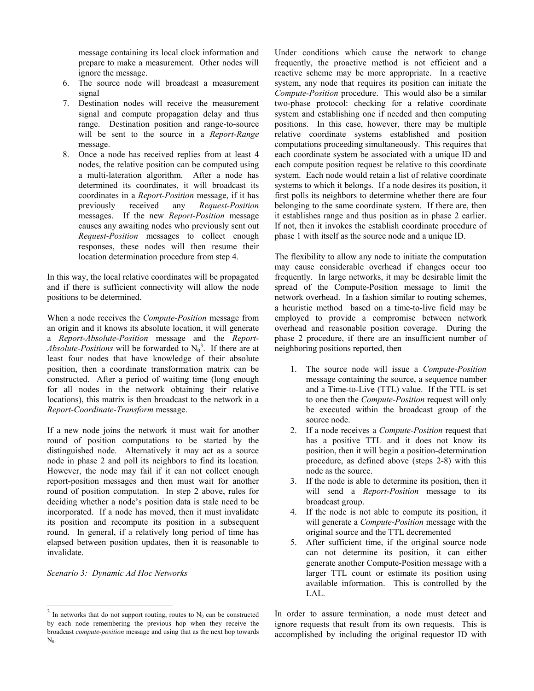message containing its local clock information and prepare to make a measurement. Other nodes will ignore the message.

- 6. The source node will broadcast a measurement signal
- 7. Destination nodes will receive the measurement signal and compute propagation delay and thus range. Destination position and range-to-source will be sent to the source in a *Report-Range* message.
- 8. Once a node has received replies from at least 4 nodes, the relative position can be computed using a multi-lateration algorithm. After a node has determined its coordinates, it will broadcast its coordinates in a *Report-Position* message, if it has previously received any *Request-Position* messages. If the new *Report-Position* message causes any awaiting nodes who previously sent out *Request-Position* messages to collect enough responses, these nodes will then resume their location determination procedure from step 4.

In this way, the local relative coordinates will be propagated and if there is sufficient connectivity will allow the node positions to be determined.

When a node receives the *Compute-Position* message from an origin and it knows its absolute location, it will generate a *Report-Absolute-Position* message and the *Report-Absolute-Positions* will be forwarded to  $N_0^3$  $N_0^3$ . If there are at least four nodes that have knowledge of their absolute position, then a coordinate transformation matrix can be constructed. After a period of waiting time (long enough for all nodes in the network obtaining their relative locations), this matrix is then broadcast to the network in a *Report-Coordinate-Transform* message.

If a new node joins the network it must wait for another round of position computations to be started by the distinguished node. Alternatively it may act as a source node in phase 2 and poll its neighbors to find its location. However, the node may fail if it can not collect enough report-position messages and then must wait for another round of position computation. In step 2 above, rules for deciding whether a node's position data is stale need to be incorporated. If a node has moved, then it must invalidate its position and recompute its position in a subsequent round. In general, if a relatively long period of time has elapsed between position updates, then it is reasonable to invalidate.

*Scenario 3: Dynamic Ad Hoc Networks* 

-

Under conditions which cause the network to change frequently, the proactive method is not efficient and a reactive scheme may be more appropriate. In a reactive system, any node that requires its position can initiate the *Compute-Position* procedure. This would also be a similar two-phase protocol: checking for a relative coordinate system and establishing one if needed and then computing positions. In this case, however, there may be multiple relative coordinate systems established and position computations proceeding simultaneously. This requires that each coordinate system be associated with a unique ID and each compute position request be relative to this coordinate system. Each node would retain a list of relative coordinate systems to which it belongs. If a node desires its position, it first polls its neighbors to determine whether there are four belonging to the same coordinate system. If there are, then it establishes range and thus position as in phase 2 earlier. If not, then it invokes the establish coordinate procedure of phase 1 with itself as the source node and a unique ID.

The flexibility to allow any node to initiate the computation may cause considerable overhead if changes occur too frequently. In large networks, it may be desirable limit the spread of the Compute-Position message to limit the network overhead. In a fashion similar to routing schemes, a heuristic method based on a time-to-live field may be employed to provide a compromise between network overhead and reasonable position coverage. During the phase 2 procedure, if there are an insufficient number of neighboring positions reported, then

- 1. The source node will issue a *Compute-Position* message containing the source, a sequence number and a Time-to-Live (TTL) value. If the TTL is set to one then the *Compute-Position* request will only be executed within the broadcast group of the source node.
- 2. If a node receives a *Compute-Position* request that has a positive TTL and it does not know its position, then it will begin a position-determination procedure, as defined above (steps 2-8) with this node as the source.
- 3. If the node is able to determine its position, then it will send a *Report-Position* message to its broadcast group.
- 4. If the node is not able to compute its position, it will generate a *Compute-Position* message with the original source and the TTL decremented
- 5. After sufficient time, if the original source node can not determine its position, it can either generate another Compute-Position message with a larger TTL count or estimate its position using available information. This is controlled by the LAL.

In order to assure termination, a node must detect and ignore requests that result from its own requests. This is accomplished by including the original requestor ID with

<span id="page-8-0"></span> $3$  In networks that do not support routing, routes to N<sub>0</sub> can be constructed by each node remembering the previous hop when they receive the broadcast *compute-position* message and using that as the next hop towards  $N_0$ .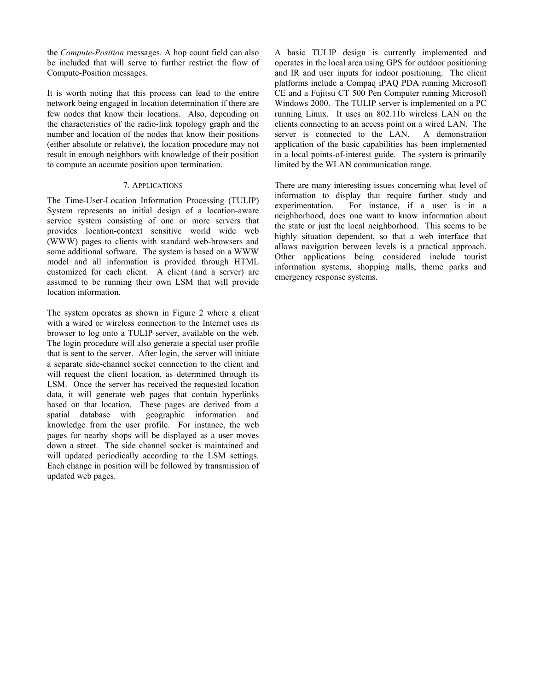the *Compute-Position* messages. A hop count field can also be included that will serve to further restrict the flow of Compute-Position messages.

It is worth noting that this process can lead to the entire network being engaged in location determination if there are few nodes that know their locations. Also, depending on the characteristics of the radio-link topology graph and the number and location of the nodes that know their positions (either absolute or relative), the location procedure may not result in enough neighbors with knowledge of their position to compute an accurate position upon termination.

# 7. APPLICATIONS

The Time-User-Location Information Processing (TULIP) System represents an initial design of a location-aware service system consisting of one or more servers that provides location-context sensitive world wide web (WWW) pages to clients with standard web-browsers and some additional software. The system is based on a WWW model and all information is provided through HTML customized for each client. A client (and a server) are assumed to be running their own LSM that will provide location information.

The system operates as shown in Figure 2 where a client with a wired or wireless connection to the Internet uses its browser to log onto a TULIP server, available on the web. The login procedure will also generate a special user profile that is sent to the server. After login, the server will initiate a separate side-channel socket connection to the client and will request the client location, as determined through its LSM. Once the server has received the requested location data, it will generate web pages that contain hyperlinks based on that location. These pages are derived from a spatial database with geographic information and knowledge from the user profile. For instance, the web pages for nearby shops will be displayed as a user moves down a street. The side channel socket is maintained and will updated periodically according to the LSM settings. Each change in position will be followed by transmission of updated web pages.

A basic TULIP design is currently implemented and operates in the local area using GPS for outdoor positioning and IR and user inputs for indoor positioning. The client platforms include a Compaq iPAQ PDA running Microsoft CE and a Fujitsu CT 500 Pen Computer running Microsoft Windows 2000. The TULIP server is implemented on a PC running Linux. It uses an 802.11b wireless LAN on the clients connecting to an access point on a wired LAN. The server is connected to the LAN. A demonstration application of the basic capabilities has been implemented in a local points-of-interest guide. The system is primarily limited by the WLAN communication range.

There are many interesting issues concerning what level of information to display that require further study and experimentation. For instance, if a user is in a neighborhood, does one want to know information about the state or just the local neighborhood. This seems to be highly situation dependent, so that a web interface that allows navigation between levels is a practical approach. Other applications being considered include tourist information systems, shopping malls, theme parks and emergency response systems.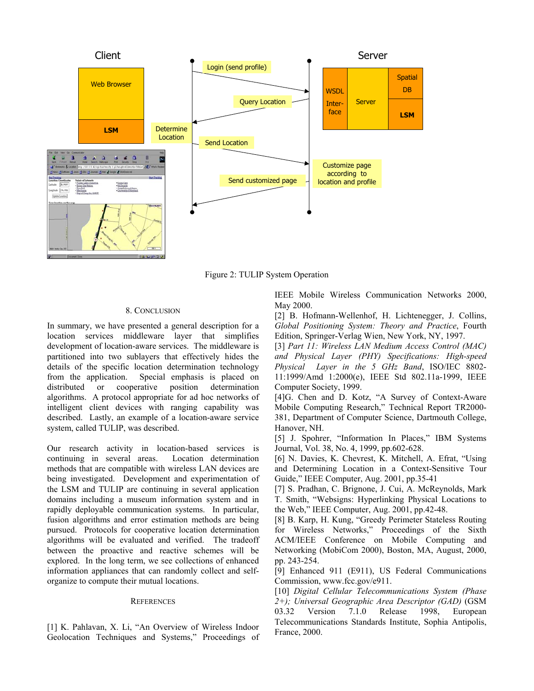

Figure 2: TULIP System Operation

# 8. CONCLUSION

In summary, we have presented a general description for a location services middleware layer that simplifies development of location-aware services. The middleware is partitioned into two sublayers that effectively hides the details of the specific location determination technology from the application. Special emphasis is placed on distributed or cooperative position determination algorithms. A protocol appropriate for ad hoc networks of intelligent client devices with ranging capability was described. Lastly, an example of a location-aware service system, called TULIP, was described.

Our research activity in location-based services is continuing in several areas. Location determination methods that are compatible with wireless LAN devices are being investigated. Development and experimentation of the LSM and TULIP are continuing in several application domains including a museum information system and in rapidly deployable communication systems. In particular, fusion algorithms and error estimation methods are being pursued. Protocols for cooperative location determination algorithms will be evaluated and verified. The tradeoff between the proactive and reactive schemes will be explored. In the long term, we see collections of enhanced information appliances that can randomly collect and selforganize to compute their mutual locations.

# **REFERENCES**

[1] K. Pahlavan, X. Li, "An Overview of Wireless Indoor Geolocation Techniques and Systems," Proceedings of IEEE Mobile Wireless Communication Networks 2000, May 2000.

[2] B. Hofmann-Wellenhof, H. Lichtenegger, J. Collins, *Global Positioning System: Theory and Practice*, Fourth Edition, Springer-Verlag Wien, New York, NY, 1997.

[3] *Part 11: Wireless LAN Medium Access Control (MAC) and Physical Layer (PHY) Specifications: High-speed Physical Layer in the 5 GHz Band*, ISO/IEC 8802- 11:1999/Amd 1:2000(e), IEEE Std 802.11a-1999, IEEE Computer Society, 1999.

[4]G. Chen and D. Kotz, "A Survey of Context-Aware Mobile Computing Research," Technical Report TR2000- 381, Department of Computer Science, Dartmouth College, Hanover, NH.

[5] J. Spohrer, "Information In Places," IBM Systems Journal, Vol. 38, No. 4, 1999, pp.602-628.

[6] N. Davies, K. Chevrest, K. Mitchell, A. Efrat, "Using and Determining Location in a Context-Sensitive Tour Guide," IEEE Computer, Aug. 2001, pp.35-41

[7] S. Pradhan, C. Brignone, J. Cui, A. McReynolds, Mark T. Smith, "Websigns: Hyperlinking Physical Locations to the Web," IEEE Computer, Aug. 2001, pp.42-48.

[8] B. Karp, H. Kung, "Greedy Perimeter Stateless Routing for Wireless Networks," Proceedings of the Sixth ACM/IEEE Conference on Mobile Computing and Networking (MobiCom 2000), Boston, MA, August, 2000, pp. 243-254.

[9] Enhanced 911 (E911), US Federal Communications Commission, www.fcc.gov/e911.

[10] *Digital Cellular Telecommunications System (Phase 2+); Universal Geographic Area Descriptor (GAD)* (GSM 03.32 Version 7.1.0 Release 1998, European Telecommunications Standards Institute, Sophia Antipolis, France, 2000.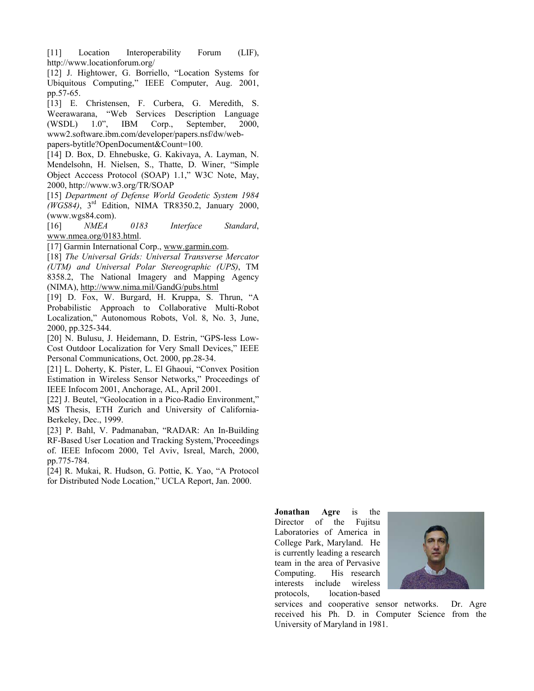[11] Location Interoperability Forum (LIF), http://www.locationforum.org/

[12] J. Hightower, G. Borriello, "Location Systems for Ubiquitous Computing," IEEE Computer, Aug. 2001, pp.57-65.

[13] E. Christensen, F. Curbera, G. Meredith, S. Weerawarana, "Web Services Description Language (WSDL) 1.0", IBM Corp., September, 2000, www2.software.ibm.com/developer/papers.nsf/dw/webpapers-bytitle?OpenDocument&Count=100.

[14] D. Box, D. Ehnebuske, G. Kakivaya, A. Layman, N.

Mendelsohn, H. Nielsen, S., Thatte, D. Winer, "Simple Object Acccess Protocol (SOAP) 1.1," W3C Note, May, 2000, http://www.w3.org/TR/SOAP

[15] *Department of Defense World Geodetic System 1984 (WGS84)*, 3rd Edition, NIMA TR8350.2, January 2000, (www.wgs84.com).

[16] *NMEA 0183 Interface Standard*, [www.nmea.org/0183.html.](http://www.nmea.org/0183.html)

[17] Garmin International Corp., [www.garmin.com](http://www.garmin.com/).

[18] *The Universal Grids: Universal Transverse Mercator (UTM) and Universal Polar Stereographic (UPS)*, TM 8358.2, The National Imagery and Mapping Agency (NIMA), <http://www.nima.mil/GandG/pubs.html>

[19] D. Fox, W. Burgard, H. Kruppa, S. Thrun, "A Probabilistic Approach to Collaborative Multi-Robot Localization," Autonomous Robots, Vol. 8, No. 3, June, 2000, pp.325-344.

[20] N. Bulusu, J. Heidemann, D. Estrin, "GPS-less Low-Cost Outdoor Localization for Very Small Devices," IEEE Personal Communications, Oct. 2000, pp.28-34.

[21] L. Doherty, K. Pister, L. El Ghaoui, "Convex Position Estimation in Wireless Sensor Networks," Proceedings of IEEE Infocom 2001, Anchorage, AL, April 2001.

[22] J. Beutel, "Geolocation in a Pico-Radio Environment," MS Thesis, ETH Zurich and University of California-Berkeley, Dec., 1999.

[23] P. Bahl, V. Padmanaban, "RADAR: An In-Building RF-Based User Location and Tracking System,'Proceedings of. IEEE Infocom 2000, Tel Aviv, Isreal, March, 2000, pp.775-784.

[24] R. Mukai, R. Hudson, G. Pottie, K. Yao, "A Protocol for Distributed Node Location," UCLA Report, Jan. 2000.

> **Jonathan Agre** is the Director of the Fujitsu Laboratories of America in College Park, Maryland. He is currently leading a research team in the area of Pervasive Computing. His research interests include wireless protocols, location-based



services and cooperative sensor networks. Dr. Agre received his Ph. D. in Computer Science from the University of Maryland in 1981.